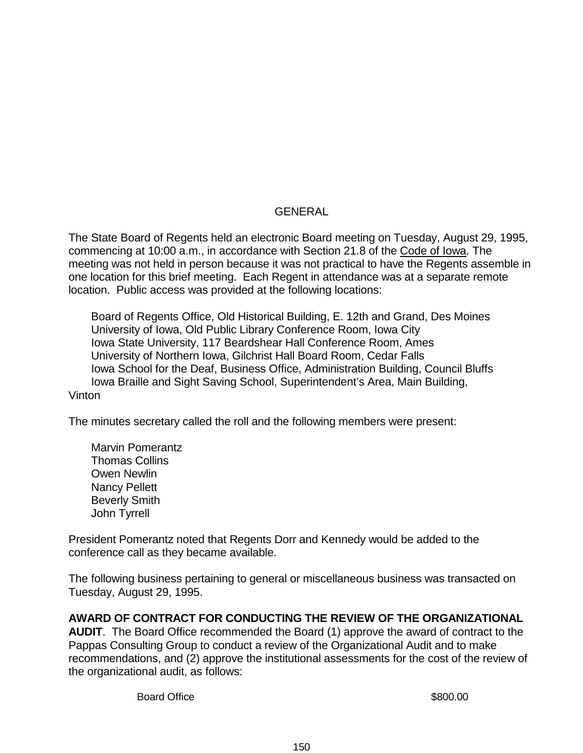## GENERAL

The State Board of Regents held an electronic Board meeting on Tuesday, August 29, 1995, commencing at 10:00 a.m., in accordance with Section 21.8 of the Code of Iowa. The meeting was not held in person because it was not practical to have the Regents assemble in one location for this brief meeting. Each Regent in attendance was at a separate remote location. Public access was provided at the following locations:

Board of Regents Office, Old Historical Building, E. 12th and Grand, Des Moines University of Iowa, Old Public Library Conference Room, Iowa City Iowa State University, 117 Beardshear Hall Conference Room, Ames University of Northern Iowa, Gilchrist Hall Board Room, Cedar Falls Iowa School for the Deaf, Business Office, Administration Building, Council Bluffs Iowa Braille and Sight Saving School, Superintendent's Area, Main Building, Vinton

The minutes secretary called the roll and the following members were present:

Marvin Pomerantz Thomas Collins Owen Newlin Nancy Pellett Beverly Smith John Tyrrell

President Pomerantz noted that Regents Dorr and Kennedy would be added to the conference call as they became available.

The following business pertaining to general or miscellaneous business was transacted on Tuesday, August 29, 1995.

## **AWARD OF CONTRACT FOR CONDUCTING THE REVIEW OF THE ORGANIZATIONAL**

**AUDIT**. The Board Office recommended the Board (1) approve the award of contract to the Pappas Consulting Group to conduct a review of the Organizational Audit and to make recommendations, and (2) approve the institutional assessments for the cost of the review of the organizational audit, as follows:

Board Office **\$800.00**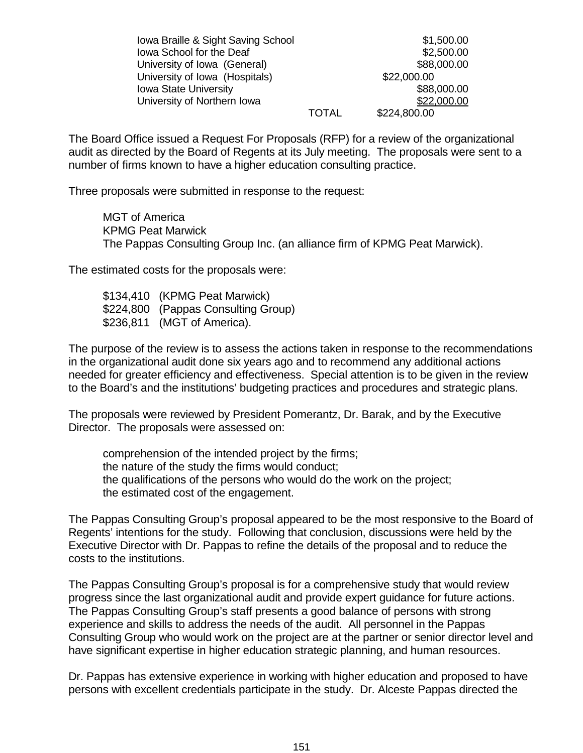| Iowa Braille & Sight Saving School |              | \$1,500.00   |
|------------------------------------|--------------|--------------|
| lowa School for the Deaf           |              | \$2,500.00   |
| University of Iowa (General)       |              | \$88,000.00  |
| University of Iowa (Hospitals)     |              | \$22,000.00  |
| <b>Iowa State University</b>       |              | \$88,000.00  |
| University of Northern Iowa        |              | \$22,000.00  |
|                                    | <b>TOTAL</b> | \$224,800.00 |

The Board Office issued a Request For Proposals (RFP) for a review of the organizational audit as directed by the Board of Regents at its July meeting. The proposals were sent to a number of firms known to have a higher education consulting practice.

Three proposals were submitted in response to the request:

MGT of America KPMG Peat Marwick The Pappas Consulting Group Inc. (an alliance firm of KPMG Peat Marwick).

The estimated costs for the proposals were:

\$134,410 (KPMG Peat Marwick) \$224,800 (Pappas Consulting Group) \$236,811 (MGT of America).

The purpose of the review is to assess the actions taken in response to the recommendations in the organizational audit done six years ago and to recommend any additional actions needed for greater efficiency and effectiveness. Special attention is to be given in the review to the Board's and the institutions' budgeting practices and procedures and strategic plans.

The proposals were reviewed by President Pomerantz, Dr. Barak, and by the Executive Director. The proposals were assessed on:

comprehension of the intended project by the firms; the nature of the study the firms would conduct; the qualifications of the persons who would do the work on the project; the estimated cost of the engagement.

The Pappas Consulting Group's proposal appeared to be the most responsive to the Board of Regents' intentions for the study. Following that conclusion, discussions were held by the Executive Director with Dr. Pappas to refine the details of the proposal and to reduce the costs to the institutions.

The Pappas Consulting Group's proposal is for a comprehensive study that would review progress since the last organizational audit and provide expert guidance for future actions. The Pappas Consulting Group's staff presents a good balance of persons with strong experience and skills to address the needs of the audit. All personnel in the Pappas Consulting Group who would work on the project are at the partner or senior director level and have significant expertise in higher education strategic planning, and human resources.

Dr. Pappas has extensive experience in working with higher education and proposed to have persons with excellent credentials participate in the study. Dr. Alceste Pappas directed the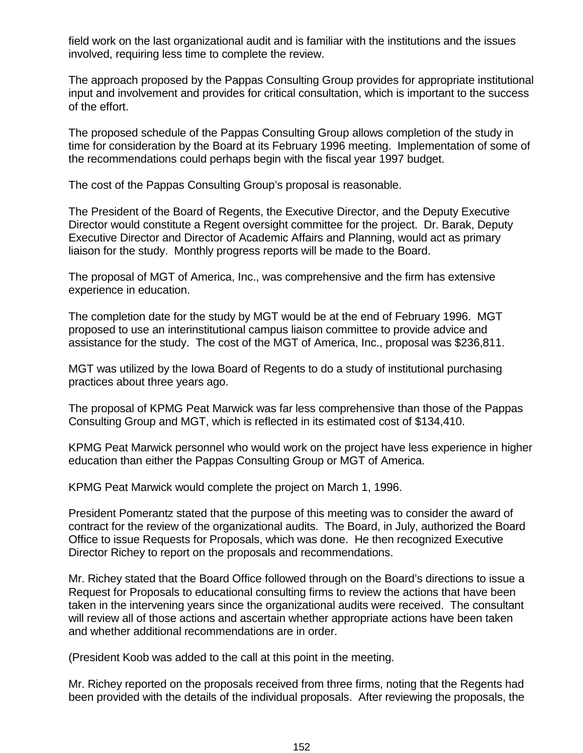field work on the last organizational audit and is familiar with the institutions and the issues involved, requiring less time to complete the review.

The approach proposed by the Pappas Consulting Group provides for appropriate institutional input and involvement and provides for critical consultation, which is important to the success of the effort.

The proposed schedule of the Pappas Consulting Group allows completion of the study in time for consideration by the Board at its February 1996 meeting. Implementation of some of the recommendations could perhaps begin with the fiscal year 1997 budget.

The cost of the Pappas Consulting Group's proposal is reasonable.

The President of the Board of Regents, the Executive Director, and the Deputy Executive Director would constitute a Regent oversight committee for the project. Dr. Barak, Deputy Executive Director and Director of Academic Affairs and Planning, would act as primary liaison for the study. Monthly progress reports will be made to the Board.

The proposal of MGT of America, Inc., was comprehensive and the firm has extensive experience in education.

The completion date for the study by MGT would be at the end of February 1996. MGT proposed to use an interinstitutional campus liaison committee to provide advice and assistance for the study. The cost of the MGT of America, Inc., proposal was \$236,811.

MGT was utilized by the Iowa Board of Regents to do a study of institutional purchasing practices about three years ago.

The proposal of KPMG Peat Marwick was far less comprehensive than those of the Pappas Consulting Group and MGT, which is reflected in its estimated cost of \$134,410.

KPMG Peat Marwick personnel who would work on the project have less experience in higher education than either the Pappas Consulting Group or MGT of America.

KPMG Peat Marwick would complete the project on March 1, 1996.

President Pomerantz stated that the purpose of this meeting was to consider the award of contract for the review of the organizational audits. The Board, in July, authorized the Board Office to issue Requests for Proposals, which was done. He then recognized Executive Director Richey to report on the proposals and recommendations.

Mr. Richey stated that the Board Office followed through on the Board's directions to issue a Request for Proposals to educational consulting firms to review the actions that have been taken in the intervening years since the organizational audits were received. The consultant will review all of those actions and ascertain whether appropriate actions have been taken and whether additional recommendations are in order.

(President Koob was added to the call at this point in the meeting.

Mr. Richey reported on the proposals received from three firms, noting that the Regents had been provided with the details of the individual proposals. After reviewing the proposals, the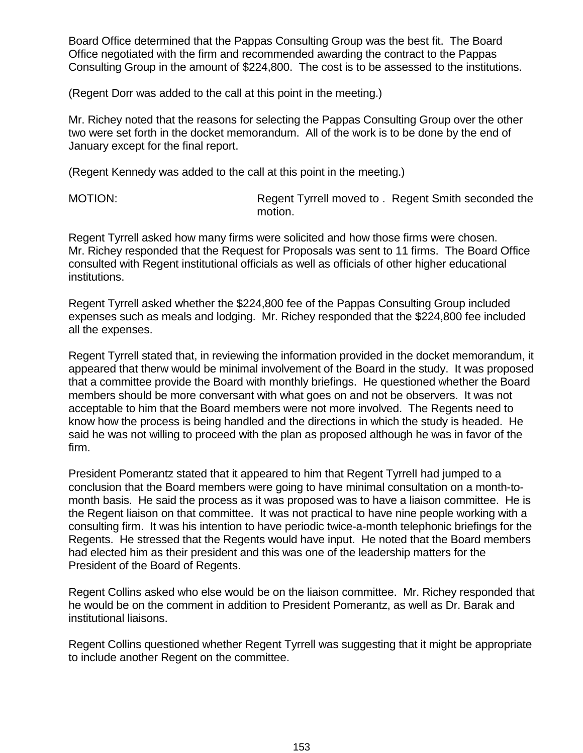Board Office determined that the Pappas Consulting Group was the best fit. The Board Office negotiated with the firm and recommended awarding the contract to the Pappas Consulting Group in the amount of \$224,800. The cost is to be assessed to the institutions.

(Regent Dorr was added to the call at this point in the meeting.)

Mr. Richey noted that the reasons for selecting the Pappas Consulting Group over the other two were set forth in the docket memorandum. All of the work is to be done by the end of January except for the final report.

(Regent Kennedy was added to the call at this point in the meeting.)

MOTION: Regent Tyrrell moved to . Regent Smith seconded the motion.

Regent Tyrrell asked how many firms were solicited and how those firms were chosen. Mr. Richey responded that the Request for Proposals was sent to 11 firms. The Board Office consulted with Regent institutional officials as well as officials of other higher educational institutions.

Regent Tyrrell asked whether the \$224,800 fee of the Pappas Consulting Group included expenses such as meals and lodging. Mr. Richey responded that the \$224,800 fee included all the expenses.

Regent Tyrrell stated that, in reviewing the information provided in the docket memorandum, it appeared that therw would be minimal involvement of the Board in the study. It was proposed that a committee provide the Board with monthly briefings. He questioned whether the Board members should be more conversant with what goes on and not be observers. It was not acceptable to him that the Board members were not more involved. The Regents need to know how the process is being handled and the directions in which the study is headed. He said he was not willing to proceed with the plan as proposed although he was in favor of the firm.

President Pomerantz stated that it appeared to him that Regent TyrrelI had jumped to a conclusion that the Board members were going to have minimal consultation on a month-tomonth basis. He said the process as it was proposed was to have a liaison committee. He is the Regent liaison on that committee. It was not practical to have nine people working with a consulting firm. It was his intention to have periodic twice-a-month telephonic briefings for the Regents. He stressed that the Regents would have input. He noted that the Board members had elected him as their president and this was one of the leadership matters for the President of the Board of Regents.

Regent Collins asked who else would be on the liaison committee. Mr. Richey responded that he would be on the comment in addition to President Pomerantz, as well as Dr. Barak and institutional liaisons.

Regent Collins questioned whether Regent Tyrrell was suggesting that it might be appropriate to include another Regent on the committee.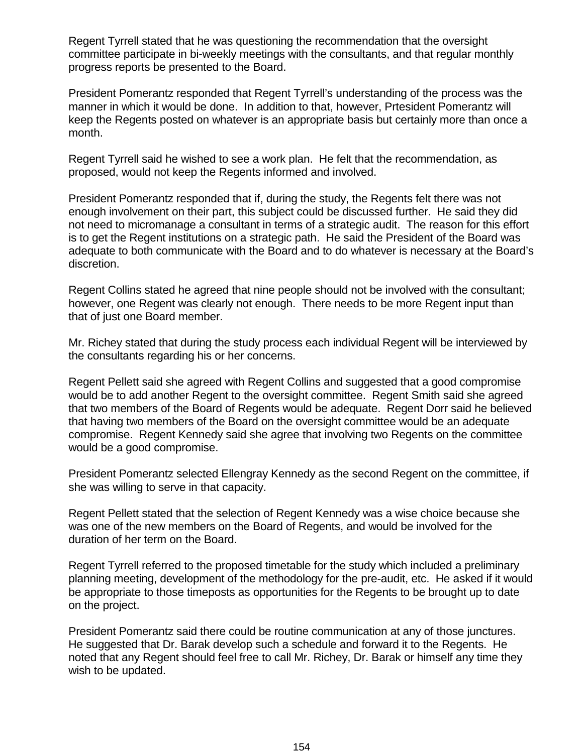Regent Tyrrell stated that he was questioning the recommendation that the oversight committee participate in bi-weekly meetings with the consultants, and that regular monthly progress reports be presented to the Board.

President Pomerantz responded that Regent Tyrrell's understanding of the process was the manner in which it would be done. In addition to that, however, Prtesident Pomerantz will keep the Regents posted on whatever is an appropriate basis but certainly more than once a month.

Regent Tyrrell said he wished to see a work plan. He felt that the recommendation, as proposed, would not keep the Regents informed and involved.

President Pomerantz responded that if, during the study, the Regents felt there was not enough involvement on their part, this subject could be discussed further. He said they did not need to micromanage a consultant in terms of a strategic audit. The reason for this effort is to get the Regent institutions on a strategic path. He said the President of the Board was adequate to both communicate with the Board and to do whatever is necessary at the Board's discretion.

Regent Collins stated he agreed that nine people should not be involved with the consultant; however, one Regent was clearly not enough. There needs to be more Regent input than that of just one Board member.

Mr. Richey stated that during the study process each individual Regent will be interviewed by the consultants regarding his or her concerns.

Regent Pellett said she agreed with Regent Collins and suggested that a good compromise would be to add another Regent to the oversight committee. Regent Smith said she agreed that two members of the Board of Regents would be adequate. Regent Dorr said he believed that having two members of the Board on the oversight committee would be an adequate compromise. Regent Kennedy said she agree that involving two Regents on the committee would be a good compromise.

President Pomerantz selected Ellengray Kennedy as the second Regent on the committee, if she was willing to serve in that capacity.

Regent Pellett stated that the selection of Regent Kennedy was a wise choice because she was one of the new members on the Board of Regents, and would be involved for the duration of her term on the Board.

Regent Tyrrell referred to the proposed timetable for the study which included a preliminary planning meeting, development of the methodology for the pre-audit, etc. He asked if it would be appropriate to those timeposts as opportunities for the Regents to be brought up to date on the project.

President Pomerantz said there could be routine communication at any of those junctures. He suggested that Dr. Barak develop such a schedule and forward it to the Regents. He noted that any Regent should feel free to call Mr. Richey, Dr. Barak or himself any time they wish to be updated.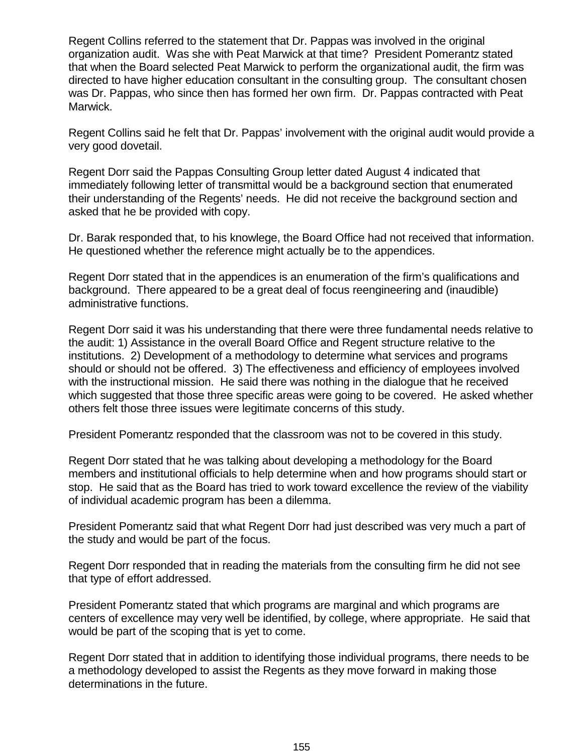Regent Collins referred to the statement that Dr. Pappas was involved in the original organization audit. Was she with Peat Marwick at that time? President Pomerantz stated that when the Board selected Peat Marwick to perform the organizational audit, the firm was directed to have higher education consultant in the consulting group. The consultant chosen was Dr. Pappas, who since then has formed her own firm. Dr. Pappas contracted with Peat Marwick.

Regent Collins said he felt that Dr. Pappas' involvement with the original audit would provide a very good dovetail.

Regent Dorr said the Pappas Consulting Group letter dated August 4 indicated that immediately following letter of transmittal would be a background section that enumerated their understanding of the Regents' needs. He did not receive the background section and asked that he be provided with copy.

Dr. Barak responded that, to his knowlege, the Board Office had not received that information. He questioned whether the reference might actually be to the appendices.

Regent Dorr stated that in the appendices is an enumeration of the firm's qualifications and background. There appeared to be a great deal of focus reengineering and (inaudible) administrative functions.

Regent Dorr said it was his understanding that there were three fundamental needs relative to the audit: 1) Assistance in the overall Board Office and Regent structure relative to the institutions. 2) Development of a methodology to determine what services and programs should or should not be offered. 3) The effectiveness and efficiency of employees involved with the instructional mission. He said there was nothing in the dialogue that he received which suggested that those three specific areas were going to be covered. He asked whether others felt those three issues were legitimate concerns of this study.

President Pomerantz responded that the classroom was not to be covered in this study.

Regent Dorr stated that he was talking about developing a methodology for the Board members and institutional officials to help determine when and how programs should start or stop. He said that as the Board has tried to work toward excellence the review of the viability of individual academic program has been a dilemma.

President Pomerantz said that what Regent Dorr had just described was very much a part of the study and would be part of the focus.

Regent Dorr responded that in reading the materials from the consulting firm he did not see that type of effort addressed.

President Pomerantz stated that which programs are marginal and which programs are centers of excellence may very well be identified, by college, where appropriate. He said that would be part of the scoping that is yet to come.

Regent Dorr stated that in addition to identifying those individual programs, there needs to be a methodology developed to assist the Regents as they move forward in making those determinations in the future.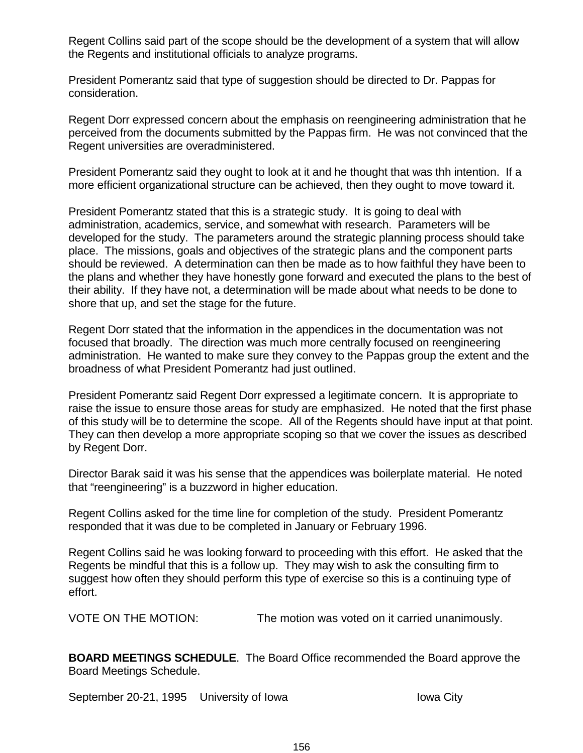Regent Collins said part of the scope should be the development of a system that will allow the Regents and institutional officials to analyze programs.

President Pomerantz said that type of suggestion should be directed to Dr. Pappas for consideration.

Regent Dorr expressed concern about the emphasis on reengineering administration that he perceived from the documents submitted by the Pappas firm. He was not convinced that the Regent universities are overadministered.

President Pomerantz said they ought to look at it and he thought that was thh intention. If a more efficient organizational structure can be achieved, then they ought to move toward it.

President Pomerantz stated that this is a strategic study. It is going to deal with administration, academics, service, and somewhat with research. Parameters will be developed for the study. The parameters around the strategic planning process should take place. The missions, goals and objectives of the strategic plans and the component parts should be reviewed. A determination can then be made as to how faithful they have been to the plans and whether they have honestly gone forward and executed the plans to the best of their ability. If they have not, a determination will be made about what needs to be done to shore that up, and set the stage for the future.

Regent Dorr stated that the information in the appendices in the documentation was not focused that broadly. The direction was much more centrally focused on reengineering administration. He wanted to make sure they convey to the Pappas group the extent and the broadness of what President Pomerantz had just outlined.

President Pomerantz said Regent Dorr expressed a legitimate concern. It is appropriate to raise the issue to ensure those areas for study are emphasized. He noted that the first phase of this study will be to determine the scope. All of the Regents should have input at that point. They can then develop a more appropriate scoping so that we cover the issues as described by Regent Dorr.

Director Barak said it was his sense that the appendices was boilerplate material. He noted that "reengineering" is a buzzword in higher education.

Regent Collins asked for the time line for completion of the study. President Pomerantz responded that it was due to be completed in January or February 1996.

Regent Collins said he was looking forward to proceeding with this effort. He asked that the Regents be mindful that this is a follow up. They may wish to ask the consulting firm to suggest how often they should perform this type of exercise so this is a continuing type of effort.

VOTE ON THE MOTION: The motion was voted on it carried unanimously.

**BOARD MEETINGS SCHEDULE**. The Board Office recommended the Board approve the Board Meetings Schedule.

September 20-21, 1995 University of Iowa International City